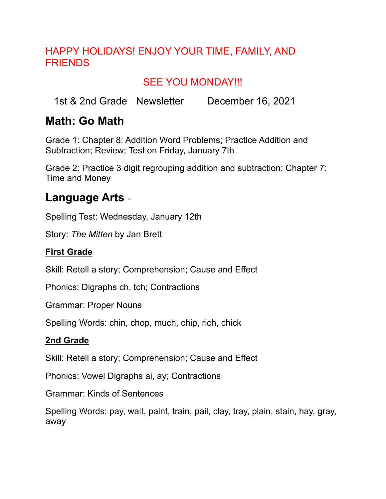#### HAPPY HOLIDAYS! ENJOY YOUR TIME, FAMILY, AND FRIENDS

### SEE YOU MONDAY!!!

1st & 2nd Grade Newsletter December 16, 2021

### **Math: Go Math**

Grade 1: Chapter 8: Addition Word Problems; Practice Addition and Subtraction; Review; Test on Friday, January 7th

Grade 2: Practice 3 digit regrouping addition and subtraction; Chapter 7: Time and Money

### **Language Arts** -

Spelling Test: Wednesday, January 12th

Story: *The Mitten* by Jan Brett

#### **First Grade**

Skill: Retell a story; Comprehension; Cause and Effect

Phonics: Digraphs ch, tch; Contractions

Grammar: Proper Nouns

Spelling Words: chin, chop, much, chip, rich, chick

#### **2nd Grade**

Skill: Retell a story; Comprehension; Cause and Effect

Phonics: Vowel Digraphs ai, ay; Contractions

Grammar: Kinds of Sentences

Spelling Words: pay, wait, paint, train, pail, clay, tray, plain, stain, hay, gray, away